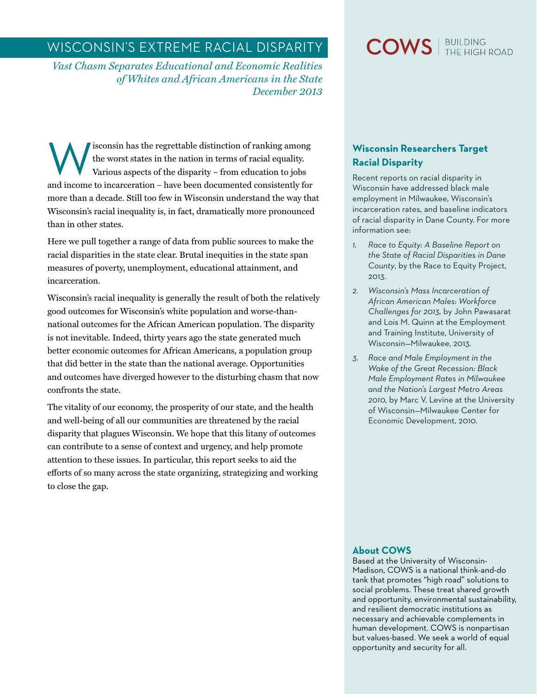# Wisconsin's Extreme Racial Disparity

*Vast Chasm Separates Educational and Economic Realities of Whites and African Americans in the State December 2013*

Isconsin has the regrettable distinction of ranking among<br>the worst states in the nation in terms of racial equality.<br>Various aspects of the disparity – from education to jobs<br>and incorporation, have been decumented consis the worst states in the nation in terms of racial equality. Various aspects of the disparity – from education to jobs and income to incarceration – have been documented consistently for more than a decade. Still too few in Wisconsin understand the way that Wisconsin's racial inequality is, in fact, dramatically more pronounced than in other states.

Here we pull together a range of data from public sources to make the racial disparities in the state clear. Brutal inequities in the state span measures of poverty, unemployment, educational attainment, and incarceration.

Wisconsin's racial inequality is generally the result of both the relatively good outcomes for Wisconsin's white population and worse-thannational outcomes for the African American population. The disparity is not inevitable. Indeed, thirty years ago the state generated much better economic outcomes for African Americans, a population group that did better in the state than the national average. Opportunities and outcomes have diverged however to the disturbing chasm that now confronts the state.

The vitality of our economy, the prosperity of our state, and the health and well-being of all our communities are threatened by the racial disparity that plagues Wisconsin. We hope that this litany of outcomes can contribute to a sense of context and urgency, and help promote attention to these issues. In particular, this report seeks to aid the efforts of so many across the state organizing, strategizing and working to close the gap.

# $\text{COWS}$   $\mid$  BUILDING

# **Wisconsin Researchers Target Racial Disparity**

Recent reports on racial disparity in Wisconsin have addressed black male employment in Milwaukee, Wisconsin's incarceration rates, and baseline indicators of racial disparity in Dane County. For more information see:

- *1. [Race to Equity: A Baseline Report on](http://racetoequity.net/dev/wp-content/uploads/WCCF-R2E-Report.pdf)  [the State of Racial Disparities in Dane](http://racetoequity.net/dev/wp-content/uploads/WCCF-R2E-Report.pdf)  [County](http://racetoequity.net/dev/wp-content/uploads/WCCF-R2E-Report.pdf)*, by the Race to Equity Project, 2013.
- *2. [Wisconsin's Mass Incarceration of](http://http://www4.uwm.edu/eti/2013/BlackImprisonment.pdf)  [African American Males: Workforce](http://http://www4.uwm.edu/eti/2013/BlackImprisonment.pdf)  [Challenges for 2013](http://http://www4.uwm.edu/eti/2013/BlackImprisonment.pdf),* by John Pawasarat and Lois M. Quinn at the Employment and Training Institute, University of Wisconsin—Milwaukee, 2013.
- *3. [Race and Male Employment in the](http://www4.uwm.edu/ced/publications/black-employment_2012.pdf)  [Wake of the Great Recession: Black](http://www4.uwm.edu/ced/publications/black-employment_2012.pdf)  [Male Employment Rates in Milwaukee](http://www4.uwm.edu/ced/publications/black-employment_2012.pdf)  [and the Nation's Largest Metro Areas](http://www4.uwm.edu/ced/publications/black-employment_2012.pdf)  [2010,](http://www4.uwm.edu/ced/publications/black-employment_2012.pdf)* by Marc V. Levine at the University of Wisconsin—Milwaukee Center for Economic Development, 2010.

#### **About COWS**

Based at the University of Wisconsin-Madison, COWS is a national think-and-do tank that promotes "high road" solutions to social problems. These treat shared growth and opportunity, environmental sustainability, and resilient democratic institutions as necessary and achievable complements in human development. COWS is nonpartisan but values-based. We seek a world of equal opportunity and security for all.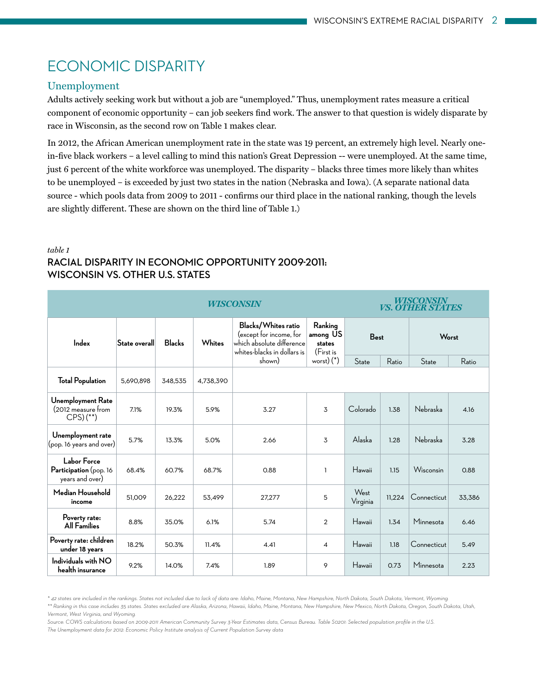# Economic Disparity

#### Unemployment

Adults actively seeking work but without a job are "unemployed." Thus, unemployment rates measure a critical component of economic opportunity – can job seekers find work. The answer to that question is widely disparate by race in Wisconsin, as the second row on Table 1 makes clear.

In 2012, the African American unemployment rate in the state was 19 percent, an extremely high level. Nearly onein-five black workers – a level calling to mind this nation's Great Depression -- were unemployed. At the same time, just 6 percent of the white workforce was unemployed. The disparity – blacks three times more likely than whites to be unemployed – is exceeded by just two states in the nation (Nebraska and Iowa). (A separate national data source - which pools data from 2009 to 2011 - confirms our third place in the national ranking, though the levels are slightly different. These are shown on the third line of Table 1.)

| <b>WISCONSIN</b>                                         |               |               |           |                                                                                                                      |                                                          |                  | WISCONSIN<br><i>VS. OTHER STATES</i> |             |        |  |
|----------------------------------------------------------|---------------|---------------|-----------|----------------------------------------------------------------------------------------------------------------------|----------------------------------------------------------|------------------|--------------------------------------|-------------|--------|--|
| Index                                                    | State overall | <b>Blacks</b> | Whites    | Blacks/Whites ratio<br>(except for income, for<br>which absolute difference<br>whites-blacks in dollars is<br>shown) | Ranking<br>among US<br>states<br>(First is<br>worst) (*) | <b>Best</b>      |                                      | Worst       |        |  |
|                                                          |               |               |           |                                                                                                                      |                                                          | State            | Ratio                                | State       | Ratio  |  |
| <b>Total Population</b>                                  | 5,690,898     | 348.535       | 4,738,390 |                                                                                                                      |                                                          |                  |                                      |             |        |  |
| Unemployment Rate<br>(2012 measure from<br>$CPS($ **)    | 7.1%          | 19.3%         | 5.9%      | 3.27                                                                                                                 | 3                                                        | Colorado         | 1.38                                 | Nebraska    | 4.16   |  |
| Unemployment rate<br>(pop. 16 years and over)            | 5.7%          | 13.3%         | 5.0%      | 2.66                                                                                                                 | 3                                                        | Alaska           | 1.28                                 | Nebraska    | 3.28   |  |
| Labor Force<br>Participation (pop. 16<br>years and over) | 68.4%         | 60.7%         | 68.7%     | 0.88                                                                                                                 | 1                                                        | Hawaii           | 1.15                                 | Wisconsin   | 0.88   |  |
| Median Household<br>income                               | 51,009        | 26,222        | 53,499    | 27,277                                                                                                               | 5                                                        | West<br>Virginia | 11.224                               | Connecticut | 33,386 |  |
| Poverty rate:<br><b>All Families</b>                     | 8.8%          | 35.0%         | 6.1%      | 5.74                                                                                                                 | 2                                                        | Hawaii           | 1.34                                 | Minnesota   | 6.46   |  |
| Poverty rate: children<br>under 18 years                 | 18.2%         | 50.3%         | 11.4%     | 4.41                                                                                                                 | 4                                                        | Hawaii           | 1.18                                 | Connecticut | 5.49   |  |
| Individuals with NO<br>health insurance                  | 9.2%          | 14.0%         | 7.4%      | 1.89                                                                                                                 | 9                                                        | Hawaii           | 0.73                                 | Minnesota   | 2.23   |  |

#### *table 1* **RACIAL DISPARITy in economic opportunity 2009-2011: WISCONSIN VS. OTHER U.S. STATES**

*Source: COWS calculations based on 2009-2011 American Community Survey 3-Year Estimates data, Census Bureau. Table S0201: Selected population profile in the U.S. The Unemployment data for 2012: Economic Policy Institute analysis of Current Population Survey data*

*<sup>\* 42</sup> states are included in the rankings. States not included due to lack of data are: Idaho, Maine, Montana, New Hampshire, North Dakota, South Dakota, Vermont, Wyoming.* 

*<sup>\*\*</sup> Ranking in this case includes 35 states. States excluded are Alaska, Arizona, Hawaii, Idaho, Maine, Montana, New Hampshire, New Mexico, North Dakota, Oregon, South Dakota, Utah, Vermont, West Virginia, and Wyoming.*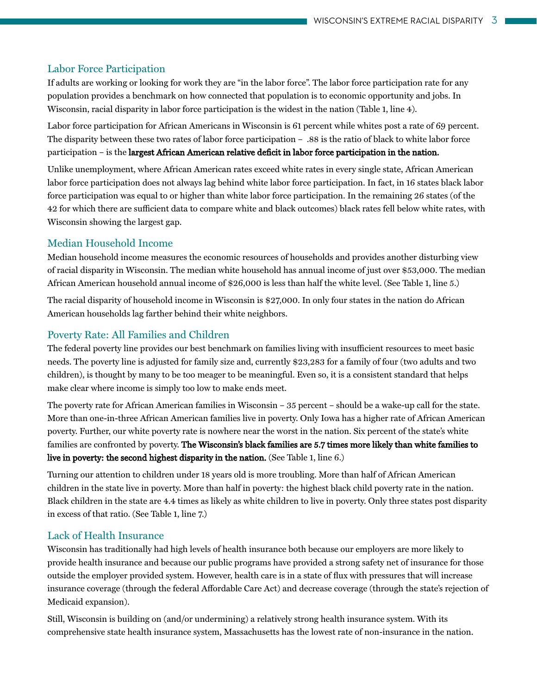#### Labor Force Participation

If adults are working or looking for work they are "in the labor force". The labor force participation rate for any population provides a benchmark on how connected that population is to economic opportunity and jobs. In Wisconsin, racial disparity in labor force participation is the widest in the nation (Table 1, line 4).

Labor force participation for African Americans in Wisconsin is 61 percent while whites post a rate of 69 percent. The disparity between these two rates of labor force participation – .88 is the ratio of black to white labor force participation – is the largest African American relative deficit in labor force participation in the nation.

Unlike unemployment, where African American rates exceed white rates in every single state, African American labor force participation does not always lag behind white labor force participation. In fact, in 16 states black labor force participation was equal to or higher than white labor force participation. In the remaining 26 states (of the 42 for which there are sufficient data to compare white and black outcomes) black rates fell below white rates, with Wisconsin showing the largest gap.

#### Median Household Income

Median household income measures the economic resources of households and provides another disturbing view of racial disparity in Wisconsin. The median white household has annual income of just over \$53,000. The median African American household annual income of \$26,000 is less than half the white level. (See Table 1, line 5.)

The racial disparity of household income in Wisconsin is \$27,000. In only four states in the nation do African American households lag farther behind their white neighbors.

#### Poverty Rate: All Families and Children

The federal poverty line provides our best benchmark on families living with insufficient resources to meet basic needs. The poverty line is adjusted for family size and, currently \$23,283 for a family of four (two adults and two children), is thought by many to be too meager to be meaningful. Even so, it is a consistent standard that helps make clear where income is simply too low to make ends meet.

The poverty rate for African American families in Wisconsin – 35 percent – should be a wake-up call for the state. More than one-in-three African American families live in poverty. Only Iowa has a higher rate of African American poverty. Further, our white poverty rate is nowhere near the worst in the nation. Six percent of the state's white families are confronted by poverty. The Wisconsin's black families are 5.7 times more likely than white families to live in poverty: the second highest disparity in the nation. (See Table 1, line 6.)

Turning our attention to children under 18 years old is more troubling. More than half of African American children in the state live in poverty. More than half in poverty: the highest black child poverty rate in the nation. Black children in the state are 4.4 times as likely as white children to live in poverty. Only three states post disparity in excess of that ratio. (See Table 1, line 7.)

#### Lack of Health Insurance

Wisconsin has traditionally had high levels of health insurance both because our employers are more likely to provide health insurance and because our public programs have provided a strong safety net of insurance for those outside the employer provided system. However, health care is in a state of flux with pressures that will increase insurance coverage (through the federal Affordable Care Act) and decrease coverage (through the state's rejection of Medicaid expansion).

Still, Wisconsin is building on (and/or undermining) a relatively strong health insurance system. With its comprehensive state health insurance system, Massachusetts has the lowest rate of non-insurance in the nation.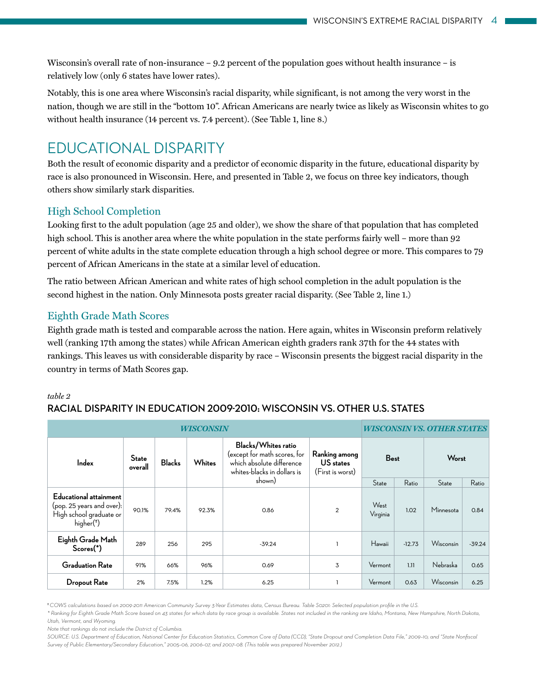Wisconsin's overall rate of non-insurance – 9.2 percent of the population goes without health insurance – is relatively low (only 6 states have lower rates).

Notably, this is one area where Wisconsin's racial disparity, while significant, is not among the very worst in the nation, though we are still in the "bottom 10". African Americans are nearly twice as likely as Wisconsin whites to go without health insurance (14 percent vs. 7.4 percent). (See Table 1, line 8.)

# Educational Disparity

Both the result of economic disparity and a predictor of economic disparity in the future, educational disparity by race is also pronounced in Wisconsin. Here, and presented in Table 2, we focus on three key indicators, though others show similarly stark disparities.

## High School Completion

Looking first to the adult population (age 25 and older), we show the share of that population that has completed high school. This is another area where the white population in the state performs fairly well – more than 92 percent of white adults in the state complete education through a high school degree or more. This compares to 79 percent of African Americans in the state at a similar level of education.

The ratio between African American and white rates of high school completion in the adult population is the second highest in the nation. Only Minnesota posts greater racial disparity. (See Table 2, line 1.)

## Eighth Grade Math Scores

Eighth grade math is tested and comparable across the nation. Here again, whites in Wisconsin preform relatively well (ranking 17th among the states) while African American eighth graders rank 37th for the 44 states with rankings. This leaves us with considerable disparity by race – Wisconsin presents the biggest racial disparity in the country in terms of Math Scores gap.

#### *table 2*

### **racial disparity in education 2009-2010: Wisconsin vs. other U.s. States**

| WISCONSIN                                                                                                |                         |               |        |                                                                                                                 |                                                |                  | <i>WISCONSIN VS. OTHER STATES</i> |           |          |  |
|----------------------------------------------------------------------------------------------------------|-------------------------|---------------|--------|-----------------------------------------------------------------------------------------------------------------|------------------------------------------------|------------------|-----------------------------------|-----------|----------|--|
| Index                                                                                                    | <b>State</b><br>overall | <b>Blacks</b> | Whites | Blacks/Whites ratio<br>(except for math scores, for<br>which absolute difference<br>whites-blacks in dollars is | Ranking among<br>US states<br>(First is worst) | <b>Best</b>      |                                   | Worst     |          |  |
|                                                                                                          |                         |               |        | shown)                                                                                                          |                                                | State            | Ratio                             | State     | Ratio    |  |
| Educational attainment<br>(pop. 25 years and over):<br>High school graduate or<br>higher <sup>(†</sup> ) | 90.1%                   | 79.4%         | 92.3%  | 0.86                                                                                                            | $\overline{2}$                                 | West<br>Virginia | 1.02                              | Minnesota | 0.84     |  |
| Eighth Grade Math<br>$Scores(*)$                                                                         | 289                     | 256           | 295    | $-39.24$                                                                                                        |                                                | Hawaii           | $-12.73$                          | Wisconsin | $-39.24$ |  |
| <b>Graduation Rate</b>                                                                                   | 91%                     | 66%           | 96%    | 0.69                                                                                                            | 3                                              | Vermont          | 1.11                              | Nebraska  | 0.65     |  |
| <b>Dropout Rate</b>                                                                                      | 2%                      | 7.5%          | 1.2%   | 6.25                                                                                                            |                                                | Vermont          | 0.63                              | Wisconsin | 6.25     |  |

† *COWS calculations based on 2009-2011 American Community Survey 3-Year Estimates data, Census Bureau. Table S0201: Selected population profile in the U.S.*

*\* Ranking for Eighth Grade Math Score based on 43 states for which data by race group is available. States not included in the ranking are Idaho, Montana, New Hampshire, North Dakota, Utah, Vermont, and Wyoming.*

*Note that rankings do not include the District of Columbia.*

*SOURCE: U.S. Department of Education, National Center for Education Statistics, Common Core of Data (CCD), "State Dropout and Completion Data File," 2009–10; and "State Nonfiscal Survey of Public Elementary/Secondary Education," 2005–06, 2006–07, and 2007–08. (This table was prepared November 2012.)*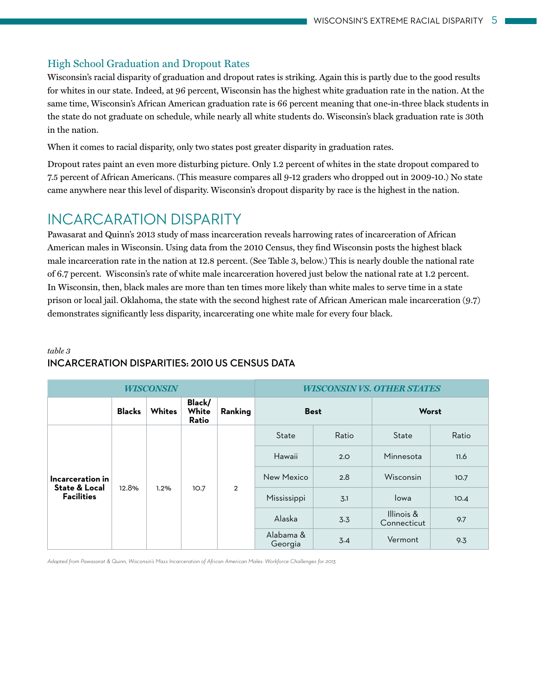### High School Graduation and Dropout Rates

Wisconsin's racial disparity of graduation and dropout rates is striking. Again this is partly due to the good results for whites in our state. Indeed, at 96 percent, Wisconsin has the highest white graduation rate in the nation. At the same time, Wisconsin's African American graduation rate is 66 percent meaning that one-in-three black students in the state do not graduate on schedule, while nearly all white students do. Wisconsin's black graduation rate is 30th in the nation.

When it comes to racial disparity, only two states post greater disparity in graduation rates.

Dropout rates paint an even more disturbing picture. Only 1.2 percent of whites in the state dropout compared to 7.5 percent of African Americans. (This measure compares all 9-12 graders who dropped out in 2009-10.) No state came anywhere near this level of disparity. Wisconsin's dropout disparity by race is the highest in the nation.

# Incarcaration Disparity

Pawasarat and Quinn's 2013 study of mass incarceration reveals harrowing rates of incarceration of African American males in Wisconsin. Using data from the 2010 Census, they find Wisconsin posts the highest black male incarceration rate in the nation at 12.8 percent. (See Table 3, below.) This is nearly double the national rate of 6.7 percent. Wisconsin's rate of white male incarceration hovered just below the national rate at 1.2 percent. In Wisconsin, then, black males are more than ten times more likely than white males to serve time in a state prison or local jail. Oklahoma, the state with the second highest rate of African American male incarceration (9.7) demonstrates significantly less disparity, incarcerating one white male for every four black.

#### *table 3* **Incarceration Disparities: 2010 US Census Data**

|                                                                   |               | <b>WISCONSIN</b> |                          |                | <b>WISCONSINVS. OTHER STATES</b> |       |                           |       |  |
|-------------------------------------------------------------------|---------------|------------------|--------------------------|----------------|----------------------------------|-------|---------------------------|-------|--|
|                                                                   | <b>Blacks</b> | <b>Whites</b>    | Black/<br>White<br>Ratio | Ranking        | <b>Best</b>                      |       |                           | Worst |  |
| Incarceration in<br><b>State &amp; Local</b><br><b>Facilities</b> | 12.8%         | 1.2%             | 10.7                     | $\overline{2}$ | State                            | Ratio | State                     | Ratio |  |
|                                                                   |               |                  |                          |                | Hawaii                           | 2.0   | Minnesota                 | 11.6  |  |
|                                                                   |               |                  |                          |                | New Mexico                       | 2.8   | Wisconsin                 | 10.7  |  |
|                                                                   |               |                  |                          |                | Mississippi                      | 3.1   | lowa                      | 10.4  |  |
|                                                                   |               |                  |                          |                | Alaska                           | 3.3   | Illinois &<br>Connecticut | 9.7   |  |
|                                                                   |               |                  |                          |                | Alabama &<br>Georgia             | 3.4   | Vermont                   | 9.3   |  |

*Adapted from Pawasarat & Quinn, Wisconsin's Mass Incarceration of African American Males: Workforce Challenges for 2013.*